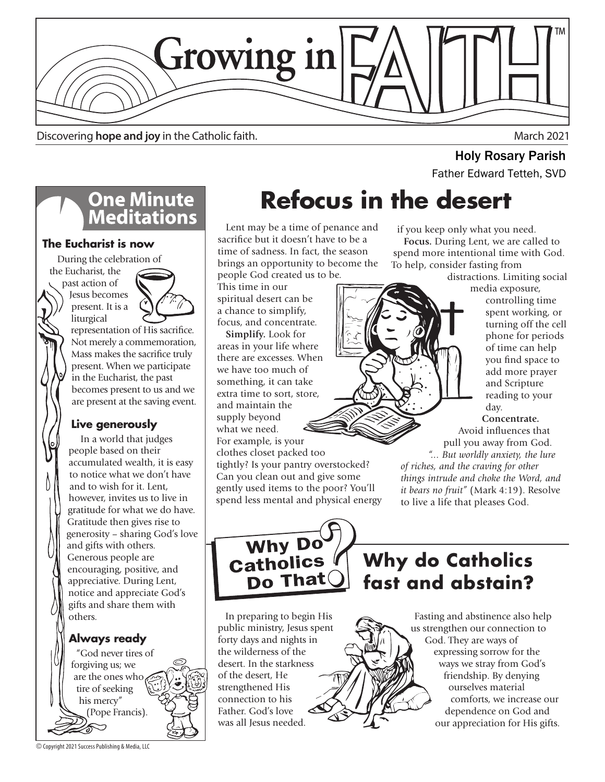

Discovering **hope and joy** in the Catholic faith. March 2021

# **One Minute<br>Meditations**

### **The Eucharist is now**

 During the celebration of the Eucharist, the

> past action of Jesus becomes present. It is a liturgical



representation of His sacrifice. Not merely a commemoration, Mass makes the sacrifice truly present. When we participate in the Eucharist, the past becomes present to us and we are present at the saving event.

### **Live generously**

In a world that judges people based on their accumulated wealth, it is easy to notice what we don't have and to wish for it. Lent, however, invites us to live in gratitude for what we do have. Gratitude then gives rise to generosity – sharing God's love and gifts with others. Generous people are encouraging, positive, and appreciative. During Lent, notice and appreciate God's gifts and share them with others.

### **Always ready**

 "God never tires of forgiving us; we are the ones who tire of seeking his mercy" (Pope Francis).

© Copyright 2021 Success Publishing & Media, LLC

# **Refocus in the desert**

 Lent may be a time of penance and sacrifice but it doesn't have to be a time of sadness. In fact, the season brings an opportunity to become the people God created us to be.

This time in our spiritual desert can be a chance to simplify, focus, and concentrate.

 **Simplify.** Look for areas in your life where there are excesses. When we have too much of something, it can take extra time to sort, store, and maintain the supply beyond what we need. For example, is your clothes closet packed too

tightly? Is your pantry overstocked? Can you clean out and give some gently used items to the poor? You'll spend less mental and physical energy

if you keep only what you need.  **Focus.** During Lent, we are called to spend more intentional time with God. To help, consider fasting from

distractions. Limiting social

**Holy Rosary Parish**<br>Father Edward Tetteh, SVD



media exposure, controlling time spent working, or turning off the cell phone for periods of time can help you find space to add more prayer and Scripture reading to your day.

#### **Concentrate.**

Avoid influences that pull you away from God.

*"... But worldly anxiety, the lure of riches, and the craving for other things intrude and choke the Word, and it bears no fruit"* (Mark 4:19). Resolve to live a life that pleases God.



### **Why do Catholics fast and abstain?**

 In preparing to begin His public ministry, Jesus spent forty days and nights in the wilderness of the desert. In the starkness of the desert, He strengthened His connection to his Father. God's love was all Jesus needed.

 Fasting and abstinence also help us strengthen our connection to God. They are ways of expressing sorrow for the ways we stray from God's friendship. By denying ourselves material comforts, we increase our dependence on God and our appreciation for His gifts.